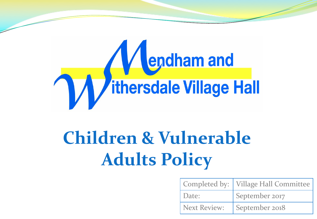

# **Children & Vulnerable Adults Policy**

|       | Completed by:   Village Hall Committee |
|-------|----------------------------------------|
| Date: | September 2017                         |
|       | Next Review:   September 2018          |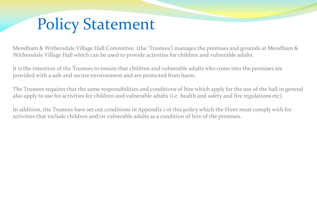### Policy Statement

Mendham & Withersdale Village Hall Committee, (the 'Trustees') manages the premises and grounds at Mendham & Withersdale Village Hall which can be used to provide activities for children and vulnerable adults.

It is the intention of the Trustees to ensure that children and vulnerable adults who come into the premises are provided with a safe and secure environment and are protected from harm.

The Trustees requires that the same responsibilities and conditions of hire which apply for the use of the hall in general also apply to use for activities for children and vulnerable adults (i.e. health and safety and fire regulations etc).

In addition, the Trustees have set out conditions in Appendix 1 of this policy which the Hirer must comply with for activities that include children and/or vulnerable adults as a condition of hire of the premises.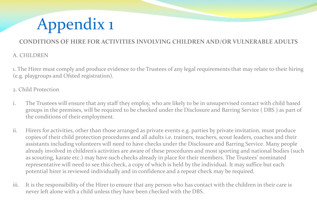## Appendix 1

#### **CONDITIONS OF HIRE FOR ACTIVITIES INVOLVING CHILDREN AND/OR VULNERABLE ADULTS**

#### A. CHILDREN

1. The Hirer must comply and produce evidence to the Trustees of any legal requirements that may relate to their hiring (e.g. playgroups and Ofsted registration).

#### 2. Child Protection

- i. The Trustees will ensure that any staff they employ, who are likely to be in unsupervised contact with child based groups in the premises, will be required to be checked under the Disclosure and Barring Service ( DBS ) as part of the conditions of their employment.
- ii. Hirers for activities, other than those arranged as private events e.g. parties by private invitation, must produce copies of their child protection procedures and all adults i.e. trainers, teachers, scout leaders, coaches and their assistants including volunteers will need to have checks under the Disclosure and Barring Service. Many people already involved in children's activities are aware of these procedures and most sporting and national bodies (such as scouting, karate etc.) may have such checks already in place for their members. The Trustees' nominated representative will need to see this check, a copy of which is held by the individual. It may suffice but each potential hirer is reviewed individually and in confidence and a repeat check may be required.
- iii. It is the responsibility of the Hirer to ensure that any person who has contact with the children in their care is never left alone with a child unless they have been checked with the DBS.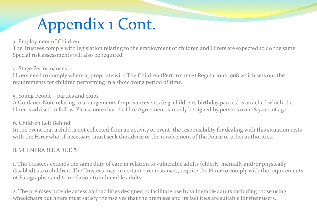## Appendix 1 Cont.

#### 3. Employment of Children

The Trustees comply with legislation relating to the employment of children and Hirers are expected to do the same. Special risk assessments will also be required.

4. Stage Performances.

Hirers need to comply where appropriate with The Children (Performance) Regulations 1968 which sets out the requirements for children performing in a show over a period of time.

5. Young People – parties and clubs

A Guidance Note relating to arrangements for private events (e.g. children's birthday parties) is attached which the Hirer is advised to follow. Please note that the Hire Agreement can only be signed by persons over 18 years of age.

6. Children Left Behind

In the event that a child is not collected from an activity or event, the responsibility for dealing with this situation rests with the Hirer who, if necessary, must seek the advice or the involvement of the Police or other authorities.

#### B. VULNERABLE ADULTS

1. The Trustees extends the same duty of care in relation to vulnerable adults (elderly, mentally and/or physically disabled) as to children. The Trustees may, in certain circumstances, require the Hirer to comply with the requirements of Paragraphs 1 and 6 in relation to vulnerable adults.

2. The premises provide access and facilities designed to facilitate use by vulnerable adults including those using wheelchairs but hirers must satisfy themselves that the premises and its facilities are suitable for their users.